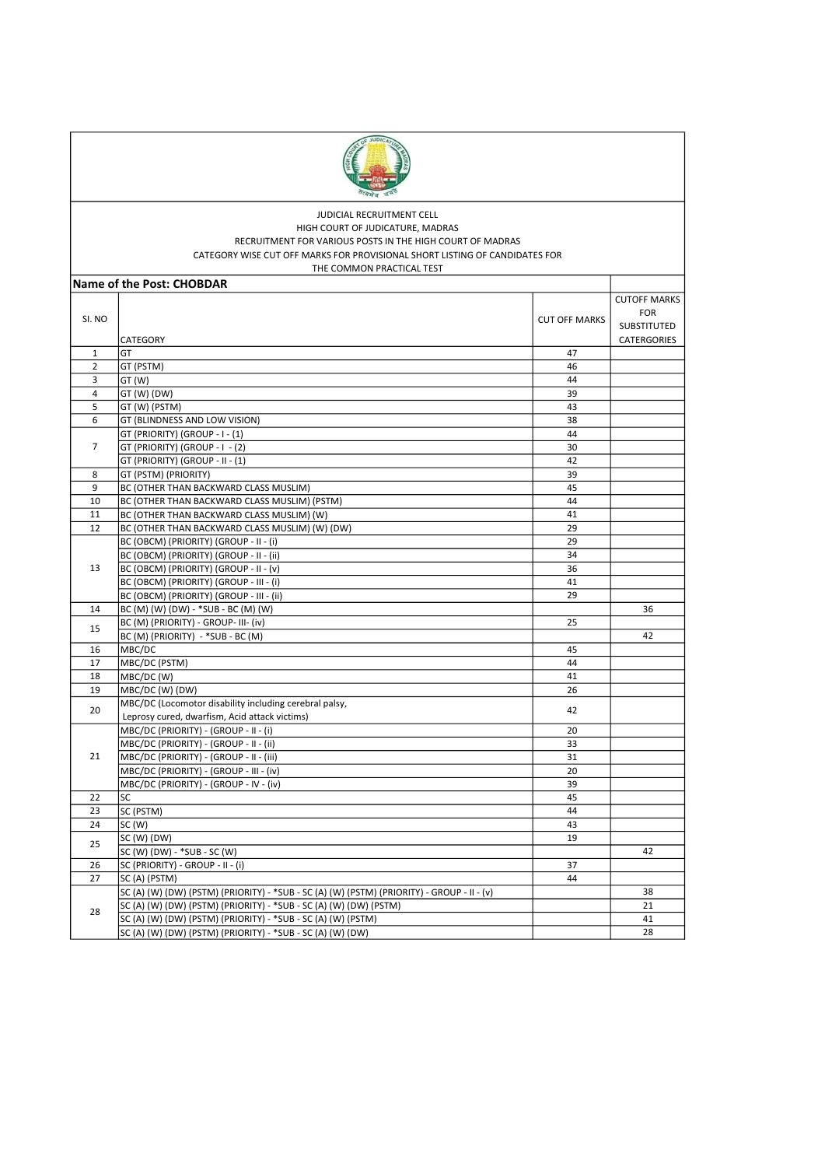

## JUDICIAL RECRUITMENT CELL HIGH COURT OF JUDICATURE, MADRAS RECRUITMENT FOR VARIOUS POSTS IN THE HIGH COURT OF MADRAS CATEGORY WISE CUT OFF MARKS FOR PROVISIONAL SHORT LISTING OF CANDIDATES FOR

| THE COMMON PRACTICAL TEST |                                                                                            |                      |                                                                 |  |
|---------------------------|--------------------------------------------------------------------------------------------|----------------------|-----------------------------------------------------------------|--|
|                           | Name of the Post: CHOBDAR                                                                  |                      |                                                                 |  |
| SI. NO                    | CATEGORY                                                                                   | <b>CUT OFF MARKS</b> | <b>CUTOFF MARKS</b><br><b>FOR</b><br>SUBSTITUTED<br>CATERGORIES |  |
| $\mathbf{1}$              | GT                                                                                         | 47                   |                                                                 |  |
| $\overline{2}$            | GT (PSTM)                                                                                  | 46                   |                                                                 |  |
| 3                         | GT (W)                                                                                     | 44                   |                                                                 |  |
| 4                         | GT (W) (DW)                                                                                | 39                   |                                                                 |  |
| 5                         | GT (W) (PSTM)                                                                              | 43                   |                                                                 |  |
| 6                         | GT (BLINDNESS AND LOW VISION)                                                              | 38                   |                                                                 |  |
|                           | GT (PRIORITY) (GROUP - I - (1)                                                             | 44                   |                                                                 |  |
| 7                         | GT (PRIORITY) (GROUP - I - (2)                                                             | 30                   |                                                                 |  |
|                           | GT (PRIORITY) (GROUP - II - (1)                                                            | 42                   |                                                                 |  |
| 8                         | GT (PSTM) (PRIORITY)                                                                       | 39                   |                                                                 |  |
| 9                         | BC (OTHER THAN BACKWARD CLASS MUSLIM)                                                      | 45                   |                                                                 |  |
| 10                        | BC (OTHER THAN BACKWARD CLASS MUSLIM) (PSTM)                                               | 44                   |                                                                 |  |
| 11                        | BC (OTHER THAN BACKWARD CLASS MUSLIM) (W)                                                  | 41                   |                                                                 |  |
| 12                        | BC (OTHER THAN BACKWARD CLASS MUSLIM) (W) (DW)                                             | 29                   |                                                                 |  |
|                           | BC (OBCM) (PRIORITY) (GROUP - II - (i)                                                     | 29                   |                                                                 |  |
|                           | BC (OBCM) (PRIORITY) (GROUP - II - (ii)                                                    | 34                   |                                                                 |  |
| 13                        | BC (OBCM) (PRIORITY) (GROUP - II - (v)                                                     | 36                   |                                                                 |  |
|                           | BC (OBCM) (PRIORITY) (GROUP - III - (i)                                                    | 41                   |                                                                 |  |
|                           | BC (OBCM) (PRIORITY) (GROUP - III - (ii)                                                   | 29                   |                                                                 |  |
| 14                        | BC (M) (W) (DW) - *SUB - BC (M) (W)                                                        |                      | 36                                                              |  |
|                           | BC (M) (PRIORITY) - GROUP- III- (iv)                                                       | 25                   |                                                                 |  |
| 15                        | BC (M) (PRIORITY) - *SUB - BC (M)                                                          |                      | 42                                                              |  |
| 16                        | MBC/DC                                                                                     | 45                   |                                                                 |  |
| 17                        | MBC/DC (PSTM)                                                                              | 44                   |                                                                 |  |
| 18                        | MBC/DC (W)                                                                                 | 41                   |                                                                 |  |
| 19                        | MBC/DC (W) (DW)                                                                            | 26                   |                                                                 |  |
| 20                        | MBC/DC (Locomotor disability including cerebral palsy,                                     | 42                   |                                                                 |  |
|                           | Leprosy cured, dwarfism, Acid attack victims)                                              |                      |                                                                 |  |
|                           | MBC/DC (PRIORITY) - (GROUP - II - (i)                                                      | 20                   |                                                                 |  |
|                           | MBC/DC (PRIORITY) - (GROUP - II - (ii)                                                     | 33                   |                                                                 |  |
| 21                        | MBC/DC (PRIORITY) - (GROUP - II - (iii)                                                    | 31                   |                                                                 |  |
|                           | MBC/DC (PRIORITY) - (GROUP - III - (iv)                                                    | 20                   |                                                                 |  |
|                           | MBC/DC (PRIORITY) - (GROUP - IV - (iv)                                                     | 39                   |                                                                 |  |
| 22                        | SC                                                                                         | 45                   |                                                                 |  |
| 23                        | SC (PSTM)                                                                                  | 44                   |                                                                 |  |
| 24                        | SC(W)                                                                                      | 43                   |                                                                 |  |
| 25                        | SC (W) (DW)                                                                                | 19                   |                                                                 |  |
|                           | SC (W) (DW) - *SUB - SC (W)                                                                |                      | 42                                                              |  |
| 26                        | SC (PRIORITY) - GROUP - II - (i)                                                           | 37                   |                                                                 |  |
| 27                        | SC (A) (PSTM)                                                                              | 44                   |                                                                 |  |
|                           | SC (A) (W) (DW) (PSTM) (PRIORITY) - *SUB - SC (A) (W) (PSTM) (PRIORITY) - GROUP - II - (v) |                      | 38                                                              |  |
| 28                        | SC (A) (W) (DW) (PSTM) (PRIORITY) - *SUB - SC (A) (W) (DW) (PSTM)                          |                      | 21                                                              |  |
|                           | SC (A) (W) (DW) (PSTM) (PRIORITY) - *SUB - SC (A) (W) (PSTM)                               |                      | 41                                                              |  |
|                           | SC (A) (W) (DW) (PSTM) (PRIORITY) - *SUB - SC (A) (W) (DW)                                 |                      | 28                                                              |  |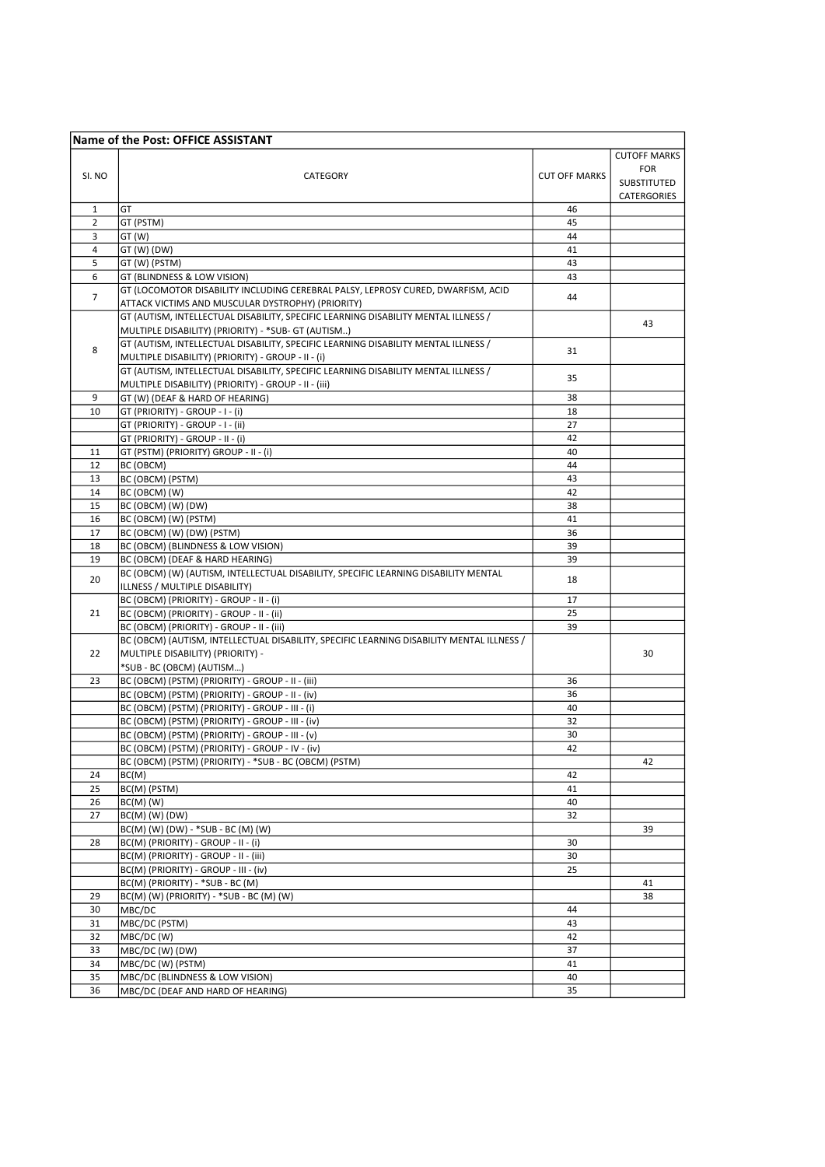|                | Name of the Post: OFFICE ASSISTANT                                                        |                      |                     |
|----------------|-------------------------------------------------------------------------------------------|----------------------|---------------------|
|                |                                                                                           |                      | <b>CUTOFF MARKS</b> |
|                |                                                                                           |                      | <b>FOR</b>          |
| SI. NO         | CATEGORY                                                                                  | <b>CUT OFF MARKS</b> | SUBSTITUTED         |
|                |                                                                                           |                      | CATERGORIES         |
| 1              | GT                                                                                        | 46                   |                     |
| $\overline{2}$ | GT (PSTM)                                                                                 | 45                   |                     |
| 3              | GT (W)                                                                                    | 44                   |                     |
| 4              | GT (W) (DW)                                                                               | 41                   |                     |
| 5              | GT (W) (PSTM)                                                                             | 43                   |                     |
| 6              | GT (BLINDNESS & LOW VISION)                                                               | 43                   |                     |
|                | GT (LOCOMOTOR DISABILITY INCLUDING CEREBRAL PALSY, LEPROSY CURED, DWARFISM, ACID          |                      |                     |
| $\overline{7}$ | ATTACK VICTIMS AND MUSCULAR DYSTROPHY) (PRIORITY)                                         | 44                   |                     |
|                | GT (AUTISM, INTELLECTUAL DISABILITY, SPECIFIC LEARNING DISABILITY MENTAL ILLNESS /        |                      |                     |
|                | MULTIPLE DISABILITY) (PRIORITY) - *SUB- GT (AUTISM)                                       |                      | 43                  |
|                | GT (AUTISM, INTELLECTUAL DISABILITY, SPECIFIC LEARNING DISABILITY MENTAL ILLNESS /        |                      |                     |
| 8              | MULTIPLE DISABILITY) (PRIORITY) - GROUP - II - (i)                                        | 31                   |                     |
|                | GT (AUTISM, INTELLECTUAL DISABILITY, SPECIFIC LEARNING DISABILITY MENTAL ILLNESS /        |                      |                     |
|                | MULTIPLE DISABILITY) (PRIORITY) - GROUP - II - (iii)                                      | 35                   |                     |
| 9              | GT (W) (DEAF & HARD OF HEARING)                                                           | 38                   |                     |
| 10             | GT (PRIORITY) - GROUP - I - (i)                                                           | 18                   |                     |
|                | GT (PRIORITY) - GROUP - I - (ii)                                                          | 27                   |                     |
|                | GT (PRIORITY) - GROUP - II - (i)                                                          | 42                   |                     |
| 11             | GT (PSTM) (PRIORITY) GROUP - II - (i)                                                     | 40                   |                     |
| 12             | BC (OBCM)                                                                                 | 44                   |                     |
| 13             | BC (OBCM) (PSTM)                                                                          | 43                   |                     |
| 14             | BC (OBCM) (W)                                                                             | 42                   |                     |
| 15             | BC (OBCM) (W) (DW)                                                                        | 38                   |                     |
| 16             | BC (OBCM) (W) (PSTM)                                                                      | 41                   |                     |
| 17             | BC (OBCM) (W) (DW) (PSTM)                                                                 | 36                   |                     |
| 18             | BC (OBCM) (BLINDNESS & LOW VISION)                                                        | 39                   |                     |
| 19             | BC (OBCM) (DEAF & HARD HEARING)                                                           | 39                   |                     |
|                | BC (OBCM) (W) (AUTISM, INTELLECTUAL DISABILITY, SPECIFIC LEARNING DISABILITY MENTAL       |                      |                     |
| 20             | ILLNESS / MULTIPLE DISABILITY)                                                            | 18                   |                     |
|                | BC (OBCM) (PRIORITY) - GROUP - II - (i)                                                   | 17                   |                     |
| 21             | BC (OBCM) (PRIORITY) - GROUP - II - (ii)                                                  | 25                   |                     |
|                | BC (OBCM) (PRIORITY) - GROUP - II - (iii)                                                 | 39                   |                     |
|                | BC (OBCM) (AUTISM, INTELLECTUAL DISABILITY, SPECIFIC LEARNING DISABILITY MENTAL ILLNESS / |                      |                     |
| 22             | MULTIPLE DISABILITY) (PRIORITY) -                                                         |                      | 30                  |
|                | *SUB - BC (OBCM) (AUTISM)                                                                 |                      |                     |
| 23             | BC (OBCM) (PSTM) (PRIORITY) - GROUP - II - (iii)                                          | 36                   |                     |
|                | BC (OBCM) (PSTM) (PRIORITY) - GROUP - II - (iv)                                           | 36                   |                     |
|                | BC (OBCM) (PSTM) (PRIORITY) - GROUP - III - (i)                                           | 40                   |                     |
|                | BC (OBCM) (PSTM) (PRIORITY) - GROUP - III - (iv)                                          | 32                   |                     |
|                | BC (OBCM) (PSTM) (PRIORITY) - GROUP - III - (v)                                           | 30                   |                     |
|                | BC (OBCM) (PSTM) (PRIORITY) - GROUP - IV - (iv)                                           | 42                   |                     |
|                | BC (OBCM) (PSTM) (PRIORITY) - *SUB - BC (OBCM) (PSTM)                                     |                      | 42                  |
| 24             | BC(M)                                                                                     | 42                   |                     |
| 25             | BC(M) (PSTM)                                                                              | 41                   |                     |
| 26             | $BC(M)$ (W)                                                                               | 40                   |                     |
| 27             | $BC(M)$ (W) (DW)                                                                          | 32                   |                     |
|                | BC(M) (W) (DW) - *SUB - BC (M) (W)                                                        |                      | 39                  |
| 28             | BC(M) (PRIORITY) - GROUP - II - (i)                                                       | 30                   |                     |
|                | BC(M) (PRIORITY) - GROUP - II - (iii)                                                     | 30                   |                     |
|                | BC(M) (PRIORITY) - GROUP - III - (iv)                                                     | 25                   |                     |
|                | BC(M) (PRIORITY) - *SUB - BC (M)                                                          |                      | 41                  |
| 29             | BC(M) (W) (PRIORITY) - *SUB - BC (M) (W)                                                  |                      | 38                  |
| 30             | MBC/DC                                                                                    | 44                   |                     |
| 31             | MBC/DC (PSTM)                                                                             | 43                   |                     |
| 32             | MBC/DC (W)                                                                                | 42                   |                     |
| 33             | MBC/DC (W) (DW)                                                                           | 37                   |                     |
| 34             | MBC/DC (W) (PSTM)                                                                         | 41                   |                     |
| 35             | MBC/DC (BLINDNESS & LOW VISION)                                                           | 40                   |                     |
| 36             | MBC/DC (DEAF AND HARD OF HEARING)                                                         | 35                   |                     |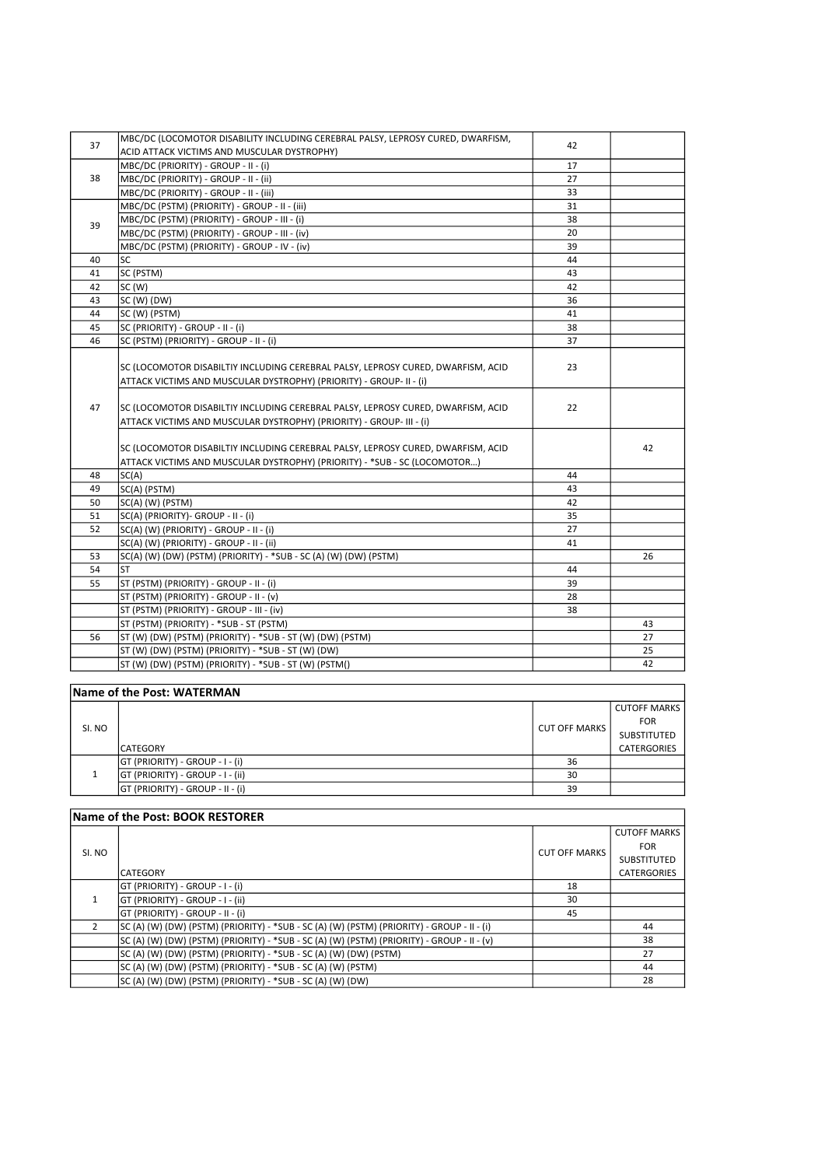| 37                         | MBC/DC (LOCOMOTOR DISABILITY INCLUDING CEREBRAL PALSY, LEPROSY CURED, DWARFISM,  |    |    |
|----------------------------|----------------------------------------------------------------------------------|----|----|
|                            | ACID ATTACK VICTIMS AND MUSCULAR DYSTROPHY)                                      | 42 |    |
|                            | MBC/DC (PRIORITY) - GROUP - II - (i)                                             | 17 |    |
| 38                         | MBC/DC (PRIORITY) - GROUP - II - (ii)                                            | 27 |    |
|                            | MBC/DC (PRIORITY) - GROUP - II - (iii)                                           | 33 |    |
|                            | MBC/DC (PSTM) (PRIORITY) - GROUP - II - (iii)                                    | 31 |    |
|                            | MBC/DC (PSTM) (PRIORITY) - GROUP - III - (i)                                     | 38 |    |
| 39                         | MBC/DC (PSTM) (PRIORITY) - GROUP - III - (iv)                                    | 20 |    |
|                            | MBC/DC (PSTM) (PRIORITY) - GROUP - IV - (iv)                                     | 39 |    |
| 40                         | <b>SC</b>                                                                        | 44 |    |
| 41                         | SC (PSTM)                                                                        | 43 |    |
| 42                         | SC(W)                                                                            | 42 |    |
| 43                         | SC (W) (DW)                                                                      | 36 |    |
| 44                         | SC (W) (PSTM)                                                                    | 41 |    |
| 45                         | SC (PRIORITY) - GROUP - II - (i)                                                 | 38 |    |
| 46                         | SC (PSTM) (PRIORITY) - GROUP - II - (i)                                          | 37 |    |
|                            |                                                                                  |    |    |
|                            | SC (LOCOMOTOR DISABILTIY INCLUDING CEREBRAL PALSY, LEPROSY CURED, DWARFISM, ACID | 23 |    |
|                            | ATTACK VICTIMS AND MUSCULAR DYSTROPHY) (PRIORITY) - GROUP- II - (i)              |    |    |
|                            |                                                                                  |    |    |
| 47                         | SC (LOCOMOTOR DISABILTIY INCLUDING CEREBRAL PALSY, LEPROSY CURED, DWARFISM, ACID | 22 |    |
|                            | ATTACK VICTIMS AND MUSCULAR DYSTROPHY) (PRIORITY) - GROUP- III - (i)             |    |    |
|                            |                                                                                  |    |    |
|                            | SC (LOCOMOTOR DISABILTIY INCLUDING CEREBRAL PALSY, LEPROSY CURED, DWARFISM, ACID |    | 42 |
|                            | ATTACK VICTIMS AND MUSCULAR DYSTROPHY) (PRIORITY) - *SUB - SC (LOCOMOTOR)        |    |    |
| 48                         | SC(A)                                                                            | 44 |    |
| 49                         | SC(A) (PSTM)                                                                     | 43 |    |
| 50                         | SC(A) (W) (PSTM)                                                                 | 42 |    |
| 51                         | SC(A) (PRIORITY)- GROUP - II - (i)                                               | 35 |    |
| 52                         | SC(A) (W) (PRIORITY) - GROUP - II - (i)                                          | 27 |    |
|                            | SC(A) (W) (PRIORITY) - GROUP - II - (ii)                                         | 41 |    |
| 53                         | SC(A) (W) (DW) (PSTM) (PRIORITY) - *SUB - SC (A) (W) (DW) (PSTM)                 |    | 26 |
| 54                         | <b>ST</b>                                                                        | 44 |    |
| 55                         | ST (PSTM) (PRIORITY) - GROUP - II - (i)                                          | 39 |    |
|                            | ST (PSTM) (PRIORITY) - GROUP - II - (v)                                          | 28 |    |
|                            | ST (PSTM) (PRIORITY) - GROUP - III - (iv)                                        | 38 |    |
|                            | ST (PSTM) (PRIORITY) - *SUB - ST (PSTM)                                          |    | 43 |
| 56                         | ST (W) (DW) (PSTM) (PRIORITY) - *SUB - ST (W) (DW) (PSTM)                        |    | 27 |
|                            | ST (W) (DW) (PSTM) (PRIORITY) - *SUB - ST (W) (DW)                               |    | 25 |
|                            | ST (W) (DW) (PSTM) (PRIORITY) - *SUB - ST (W) (PSTM()                            |    | 42 |
|                            |                                                                                  |    |    |
| Name of the Post: WATERMAN |                                                                                  |    |    |

| SI. NO |                                  | <b>CUT OFF MARKS</b> | <b>CUTOFF MARKS</b> |
|--------|----------------------------------|----------------------|---------------------|
|        |                                  |                      | FOR                 |
|        |                                  |                      | SUBSTITUTED         |
|        | <b>CATEGORY</b>                  |                      | <b>CATERGORIES</b>  |
|        | GT (PRIORITY) - GROUP - I - (i)  | 36                   |                     |
|        | GT (PRIORITY) - GROUP - I - (ii) | 30                   |                     |
|        | GT (PRIORITY) - GROUP - II - (i) | 39                   |                     |

| Name of the Post: BOOK RESTORER |                                                                                            |                      |                     |
|---------------------------------|--------------------------------------------------------------------------------------------|----------------------|---------------------|
|                                 |                                                                                            |                      | <b>CUTOFF MARKS</b> |
| SI. NO                          |                                                                                            | <b>CUT OFF MARKS</b> | <b>FOR</b>          |
|                                 |                                                                                            |                      | <b>SUBSTITUTED</b>  |
|                                 | <b>CATEGORY</b>                                                                            |                      | <b>CATERGORIES</b>  |
|                                 | GT (PRIORITY) - GROUP - I - (i)                                                            | 18                   |                     |
|                                 | GT (PRIORITY) - GROUP - I - (ii)                                                           | 30                   |                     |
|                                 | GT (PRIORITY) - GROUP - II - (i)                                                           | 45                   |                     |
|                                 | SC (A) (W) (DW) (PSTM) (PRIORITY) - *SUB - SC (A) (W) (PSTM) (PRIORITY) - GROUP - II - (i) |                      | 44                  |
|                                 | SC (A) (W) (DW) (PSTM) (PRIORITY) - *SUB - SC (A) (W) (PSTM) (PRIORITY) - GROUP - II - (v) |                      | 38                  |
|                                 | SC (A) (W) (DW) (PSTM) (PRIORITY) - *SUB - SC (A) (W) (DW) (PSTM)                          |                      | 27                  |
|                                 | SC (A) (W) (DW) (PSTM) (PRIORITY) - *SUB - SC (A) (W) (PSTM)                               |                      | 44                  |
|                                 | SC (A) (W) (DW) (PSTM) (PRIORITY) - *SUB - SC (A) (W) (DW)                                 |                      | 28                  |